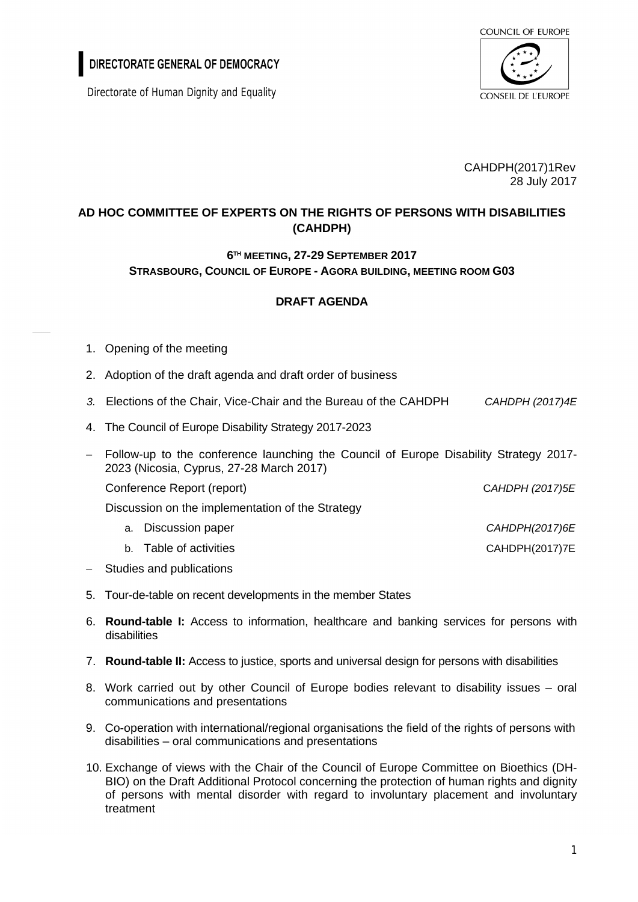DIRECTORATE GENERAL OF DEMOCRACY

Directorate of Human Dignity and Equality



CAHDPH(2017)1Rev 28 July 2017

## **AD HOC COMMITTEE OF EXPERTS ON THE RIGHTS OF PERSONS WITH DISABILITIES (CAHDPH)**

## **6 TH MEETING, 27-29 SEPTEMBER 2017 STRASBOURG, COUNCIL OF EUROPE - AGORA BUILDING, MEETING ROOM G03**

## **DRAFT AGENDA**

- 1. Opening of the meeting
- 2. Adoption of the draft agenda and draft order of business
- *3.* Elections of the Chair, Vice-Chair and the Bureau of the CAHDPH *CAHDPH (2017)4E*
- 4. The Council of Europe Disability Strategy 2017-2023
- Follow-up to the conference launching the Council of Europe Disability Strategy 2017- 2023 (Nicosia, Cyprus, 27-28 March 2017)

Conference Report (report) C*AHDPH (2017)5E*

Discussion on the implementation of the Strategy

- a. Discussion paper *CAHDPH(2017)6E*
- b. Table of activities CAHDPH(2017)7E
- Studies and publications
- 5. Tour-de-table on recent developments in the member States
- 6. **Round-table I:** Access to information, healthcare and banking services for persons with disabilities
- 7. **Round-table II:** Access to justice, sports and universal design for persons with disabilities
- 8. Work carried out by other Council of Europe bodies relevant to disability issues oral communications and presentations
- 9. Co-operation with international/regional organisations the field of the rights of persons with disabilities – oral communications and presentations
- 10. Exchange of views with the Chair of the Council of Europe Committee on Bioethics (DH-BIO) on the Draft Additional Protocol concerning the protection of human rights and dignity of persons with mental disorder with regard to involuntary placement and involuntary treatment